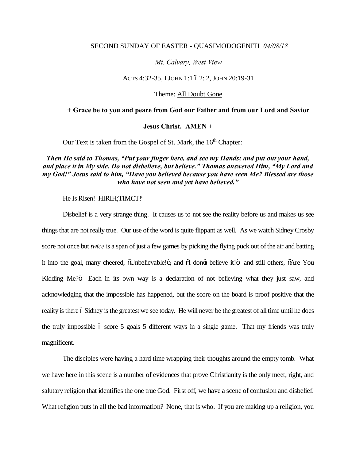#### SECOND SUNDAY OF EASTER - QUASIMODOGENITI *04/08/18*

#### *Mt. Calvary, West View*

#### ACTS 4:32-35, I JOHN 1:1 6 2: 2, JOHN 20:19-31

### Theme: All Doubt Gone

#### **+ Grace be to you and peace from God our Father and from our Lord and Savior**

#### **Jesus Christ. AMEN** +

Our Text is taken from the Gospel of St. Mark, the  $16<sup>th</sup>$  Chapter:

## *Then He said to Thomas, "Put your finger here, and see my Hands; and put out your hand, and place it in My side. Do not disbelieve, but believe." Thomas answered Him, "My Lord and my God!" Jesus said to him, "Have you believed because you have seen Me? Blessed are those who have not seen and yet have believed."*

He Is Risen! HIRIH: TIMCT!

Disbelief is a very strange thing. It causes us to not see the reality before us and makes us see things that are not really true. Our use of the word is quite flippant as well. As we watch Sidney Crosby score not once but *twice* is a span of just a few games by picking the flying puck out of the air and batting it into the goal, many cheered,  $\ddot{\text{ol}}$  unbelievable! $\ddot{\text{o}}$ , and  $\ddot{\text{ol}}$  dong believe it! $\ddot{\text{o}}$  and still others,  $\ddot{\text{o}}$ Are You Kidding Me?" Each in its own way is a declaration of not believing what they just saw, and acknowledging that the impossible has happened, but the score on the board is proof positive that the reality is there 6 Sidney is the greatest we see today. He will never be the greatest of all time until he does the truly impossible 6 score 5 goals 5 different ways in a single game. That my friends was truly magnificent.

The disciples were having a hard time wrapping their thoughts around the empty tomb. What we have here in this scene is a number of evidences that prove Christianity is the only meet, right, and salutary religion that identifies the one true God. First off, we have a scene of confusion and disbelief. What religion puts in all the bad information? None, that is who. If you are making up a religion, you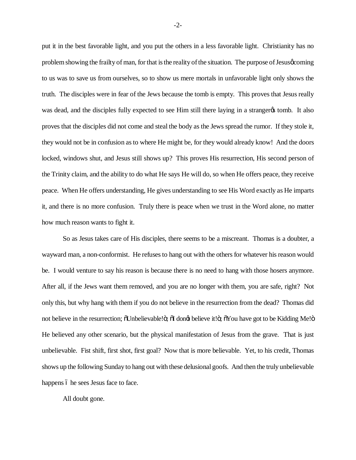put it in the best favorable light, and you put the others in a less favorable light. Christianity has no problem showing the frailty of man, for that is the reality of the situation. The purpose of Jesus gcoming to us was to save us from ourselves, so to show us mere mortals in unfavorable light only shows the truth. The disciples were in fear of the Jews because the tomb is empty. This proves that Jesus really was dead, and the disciples fully expected to see Him still there laying in a stranger tomb. It also proves that the disciples did not come and steal the body as the Jews spread the rumor. If they stole it, they would not be in confusion as to where He might be, for they would already know! And the doors locked, windows shut, and Jesus still shows up? This proves His resurrection, His second person of the Trinity claim, and the ability to do what He says He will do, so when He offers peace, they receive peace. When He offers understanding, He gives understanding to see His Word exactly as He imparts it, and there is no more confusion. Truly there is peace when we trust in the Word alone, no matter how much reason wants to fight it.

So as Jesus takes care of His disciples, there seems to be a miscreant. Thomas is a doubter, a wayward man, a non-conformist. He refuses to hang out with the others for whatever his reason would be. I would venture to say his reason is because there is no need to hang with those hosers anymore. After all, if the Jews want them removed, and you are no longer with them, you are safe, right? Not only this, but why hang with them if you do not believe in the resurrection from the dead? Thomas did not believe in the resurrection;  $\delta$ Unbelievable! $\ddot{\text{o}}$ ;  $\delta$ I dong believe it! $\ddot{\text{o}}$ ;  $\delta$ You have got to be Kidding Me! $\ddot{\text{o}}$ He believed any other scenario, but the physical manifestation of Jesus from the grave. That is just unbelievable. Fist shift, first shot, first goal? Now that is more believable. Yet, to his credit, Thomas shows up the following Sunday to hang out with these delusional goofs. And then the truly unbelievable happens 6 he sees Jesus face to face.

All doubt gone.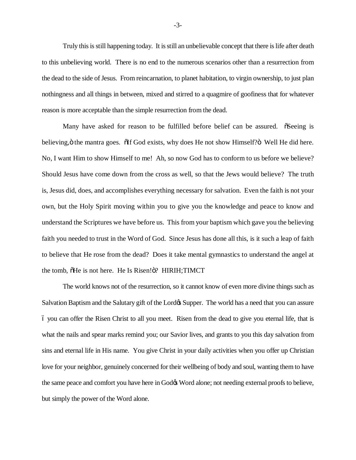Truly this is still happening today. It is still an unbelievable concept that there is life after death to this unbelieving world. There is no end to the numerous scenarios other than a resurrection from the dead to the side of Jesus. From reincarnation, to planet habitation, to virgin ownership, to just plan nothingness and all things in between, mixed and stirred to a quagmire of goofiness that for whatever reason is more acceptable than the simple resurrection from the dead.

Many have asked for reason to be fulfilled before belief can be assured.  $\tilde{o}$ Seeing is believing,  $\ddot{\text{o}}$  the mantra goes.  $\ddot{\text{o}}$  if God exists, why does He not show Himself? $\ddot{\text{o}}$  Well He did here. No, I want Him to show Himself to me! Ah, so now God has to conform to us before we believe? Should Jesus have come down from the cross as well, so that the Jews would believe? The truth is, Jesus did, does, and accomplishes everything necessary for salvation. Even the faith is not your own, but the Holy Spirit moving within you to give you the knowledge and peace to know and understand the Scriptures we have before us. This from your baptism which gave you the believing faith you needed to trust in the Word of God. Since Jesus has done all this, is it such a leap of faith to believe that He rose from the dead? Does it take mental gymnastics to understand the angel at the tomb,  $\delta$ He is not here. He Is Risen! $\delta$ ? HIRIH;TIMCT

The world knows not of the resurrection, so it cannot know of even more divine things such as Salvation Baptism and the Salutary gift of the Lord & Supper. The world has a need that you can assure – you can offer the Risen Christ to all you meet. Risen from the dead to give you eternal life, that is what the nails and spear marks remind you; our Savior lives, and grants to you this day salvation from sins and eternal life in His name. You give Christ in your daily activities when you offer up Christian love for your neighbor, genuinely concerned for their wellbeing of body and soul, wanting them to have the same peace and comfort you have here in God $\alpha$  Word alone; not needing external proofs to believe, but simply the power of the Word alone.